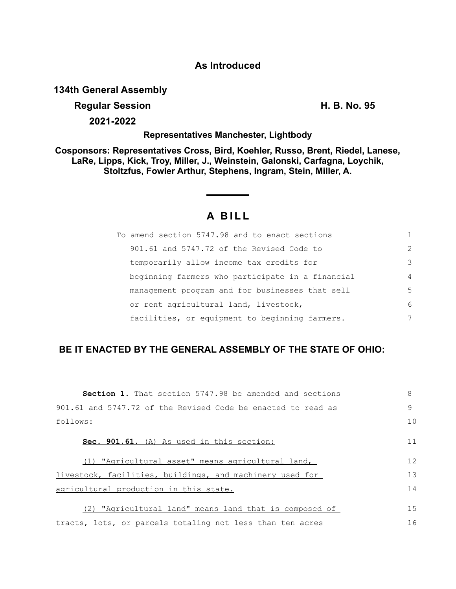## **As Introduced**

**134th General Assembly**

## **Regular Session H. B. No. 95**

**2021-2022**

### **Representatives Manchester, Lightbody**

**Cosponsors: Representatives Cross, Bird, Koehler, Russo, Brent, Riedel, Lanese, LaRe, Lipps, Kick, Troy, Miller, J., Weinstein, Galonski, Carfagna, Loychik, Stoltzfus, Fowler Arthur, Stephens, Ingram, Stein, Miller, A.**

# **A B I L L**

| To amend section 5747.98 and to enact sections   |                |
|--------------------------------------------------|----------------|
| 901.61 and 5747.72 of the Revised Code to        | $\mathcal{L}$  |
| temporarily allow income tax credits for         | 3              |
| beginning farmers who participate in a financial | $\overline{4}$ |
| management program and for businesses that sell  | 5              |
| or rent agricultural land, livestock,            | 6              |
| facilities, or equipment to beginning farmers.   | 7              |

## **BE IT ENACTED BY THE GENERAL ASSEMBLY OF THE STATE OF OHIO:**

| <b>Section 1.</b> That section 5747.98 be amended and sections | 8            |
|----------------------------------------------------------------|--------------|
| 901.61 and 5747.72 of the Revised Code be enacted to read as   | $\mathsf{Q}$ |
| follows:                                                       | 10           |
| Sec. 901.61. (A) As used in this section:                      | 11           |
| (1) "Agricultural asset" means agricultural land,              | 12           |
| livestock, facilities, buildings, and machinery used for       | 13           |
| agricultural production in this state.                         | 14           |
| (2) "Agricultural land" means land that is composed of         | 15           |
| tracts, lots, or parcels totaling not less than ten acres      | 16           |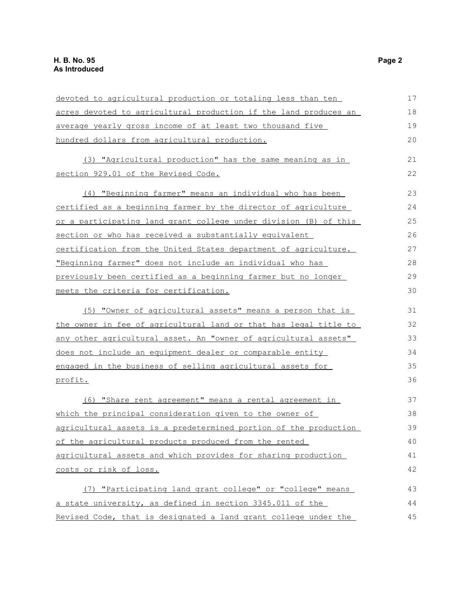| devoted to agricultural production or totaling less than ten     | 17 |
|------------------------------------------------------------------|----|
| acres devoted to agricultural production if the land produces an | 18 |
| average yearly gross income of at least two thousand five        | 19 |
| hundred dollars from agricultural production.                    | 20 |
| (3) "Agricultural production" has the same meaning as in         | 21 |
| section 929.01 of the Revised Code.                              | 22 |
| (4) "Beginning farmer" means an individual who has been          | 23 |
| certified as a beginning farmer by the director of agriculture   | 24 |
| or a participating land grant college under division (B) of this | 25 |
| section or who has received a substantially equivalent           | 26 |
| certification from the United States department of agriculture.  | 27 |
| "Beginning farmer" does not include an individual who has        | 28 |
| previously been certified as a beginning farmer but no longer    | 29 |
| meets the criteria for certification.                            | 30 |
| (5) "Owner of agricultural assets" means a person that is        | 31 |
| the owner in fee of agricultural land or that has legal title to | 32 |
| any other agricultural asset. An "owner of agricultural assets"  | 33 |
| does not include an equipment dealer or comparable entity        | 34 |
| engaged in the business of selling agricultural assets for       | 35 |
| profit.                                                          | 36 |
| (6) "Share rent agreement" means a rental agreement in           | 37 |
| which the principal consideration given to the owner of          | 38 |
| agricultural assets is a predetermined portion of the production | 39 |
| of the agricultural products produced from the rented            | 40 |
| agricultural assets and which provides for sharing production    | 41 |
| costs or risk of loss.                                           | 42 |
| (7) "Participating land grant college" or "college" means        | 43 |
| a state university, as defined in section 3345.011 of the        | 44 |
| Revised Code, that is designated a land grant college under the  | 45 |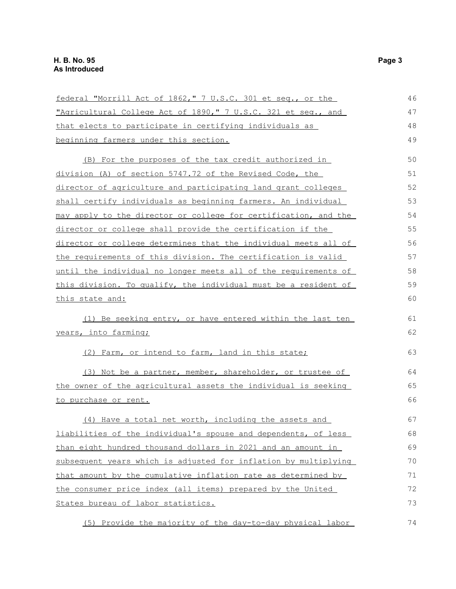| federal "Morrill Act of 1862," 7 U.S.C. 301 et seq., or the     | 46 |
|-----------------------------------------------------------------|----|
| "Agricultural College Act of 1890," 7 U.S.C. 321 et seq., and   | 47 |
| that elects to participate in certifying individuals as         | 48 |
| beginning farmers under this section.                           | 49 |
| (B) For the purposes of the tax credit authorized in            | 50 |
| division (A) of section 5747.72 of the Revised Code, the        | 51 |
| director of agriculture and participating land grant colleges   | 52 |
| shall certify individuals as beginning farmers. An individual   | 53 |
| may apply to the director or college for certification, and the | 54 |
| director or college shall provide the certification if the      | 55 |
| director or college determines that the individual meets all of | 56 |
| the requirements of this division. The certification is valid   | 57 |
| until the individual no longer meets all of the requirements of | 58 |
| this division. To qualify, the individual must be a resident of | 59 |
| <u>this state and:</u>                                          | 60 |
| (1) Be seeking entry, or have entered within the last ten       | 61 |
| years, into farming;                                            | 62 |
| (2) Farm, or intend to farm, land in this state;                | 63 |
| (3) Not be a partner, member, shareholder, or trustee of        | 64 |
| the owner of the agricultural assets the individual is seeking  | 65 |
| to purchase or rent.                                            | 66 |
| (4) Have a total net worth, including the assets and            | 67 |
| liabilities of the individual's spouse and dependents, of less  | 68 |
| than eight hundred thousand dollars in 2021 and an amount in    | 69 |
| subsequent years which is adjusted for inflation by multiplying | 70 |
| that amount by the cumulative inflation rate as determined by   | 71 |
| the consumer price index (all items) prepared by the United     | 72 |
| States bureau of labor statistics.                              | 73 |
| (5) Provide the majority of the day-to-day physical labor       | 74 |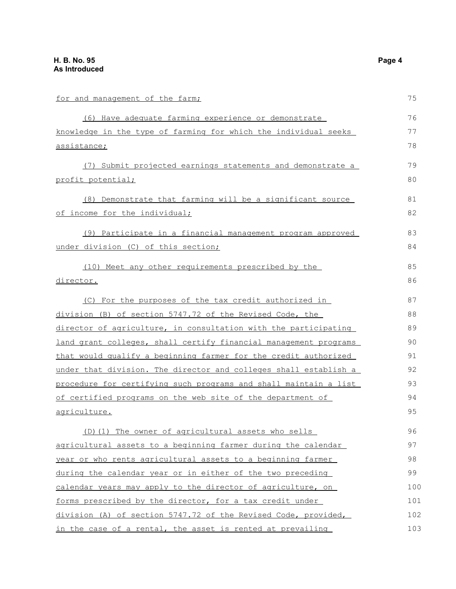| for and management of the farm;                                  | 75  |
|------------------------------------------------------------------|-----|
| (6) Have adequate farming experience or demonstrate              | 76  |
| knowledge in the type of farming for which the individual seeks  | 77  |
| <u>assistance;</u>                                               | 78  |
| (7) Submit projected earnings statements and demonstrate a       | 79  |
| profit potential;                                                | 80  |
| (8) Demonstrate that farming will be a significant source        | 81  |
| of income for the individual;                                    | 82  |
| (9) Participate in a financial management program approved       | 83  |
| under division (C) of this section;                              | 84  |
| (10) Meet any other requirements prescribed by the               | 85  |
| director.                                                        | 86  |
| (C) For the purposes of the tax credit authorized in             | 87  |
| division (B) of section 5747.72 of the Revised Code, the         | 88  |
| director of agriculture, in consultation with the participating  | 89  |
| land grant colleges, shall certify financial management programs | 90  |
| that would qualify a beginning farmer for the credit authorized  | 91  |
| under that division. The director and colleges shall establish a | 92  |
| procedure for certifying such programs and shall maintain a list | 93  |
| of certified programs on the web site of the department of       | 94  |
| agriculture.                                                     | 95  |
| (D) (1) The owner of agricultural assets who sells               | 96  |
| agricultural assets to a beginning farmer during the calendar    | 97  |
| year or who rents agricultural assets to a beginning farmer      | 98  |
| during the calendar year or in either of the two preceding       | 99  |
| calendar years may apply to the director of agriculture, on      | 100 |
| forms prescribed by the director, for a tax credit under         | 101 |
| division (A) of section 5747.72 of the Revised Code, provided,   | 102 |
| in the case of a rental, the asset is rented at prevailing       | 103 |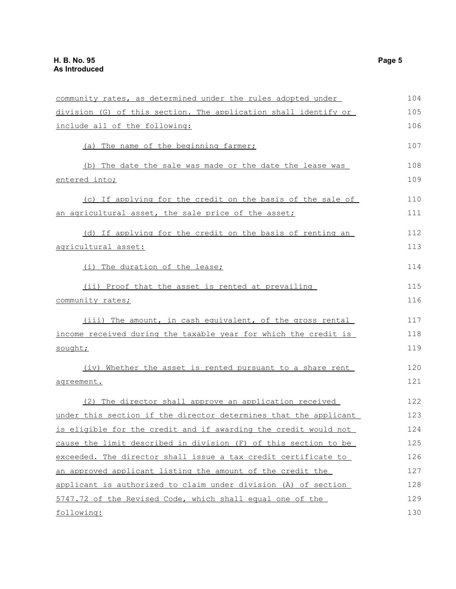| community rates, as determined under the rules adopted under     | 104 |
|------------------------------------------------------------------|-----|
| division (G) of this section. The application shall identify or  | 105 |
| include all of the following:                                    | 106 |
| (a) The name of the beginning farmer;                            | 107 |
| (b) The date the sale was made or the date the lease was         | 108 |
| <u>entered into;</u>                                             | 109 |
| (c) If applying for the credit on the basis of the sale of       | 110 |
| an agricultural asset, the sale price of the asset;              | 111 |
| (d) If applying for the credit on the basis of renting an        | 112 |
| agricultural asset:                                              | 113 |
| (i) The duration of the lease;                                   | 114 |
| (ii) Proof that the asset is rented at prevailing                | 115 |
| community rates;                                                 | 116 |
| (iii) The amount, in cash equivalent, of the gross rental        | 117 |
| income received during the taxable year for which the credit is  | 118 |
| sought;                                                          | 119 |
| (iv) Whether the asset is rented pursuant to a share rent        | 120 |
| agreement.                                                       | 121 |
| (2) The director shall approve an application received           | 122 |
| under this section if the director determines that the applicant | 123 |
| is eligible for the credit and if awarding the credit would not  | 124 |
| cause the limit described in division (F) of this section to be  | 125 |
| exceeded. The director shall issue a tax credit certificate to   | 126 |
| an approved applicant listing the amount of the credit the       | 127 |
| applicant is authorized to claim under division (A) of section   | 128 |
| 5747.72 of the Revised Code, which shall equal one of the        | 129 |
| following:                                                       | 130 |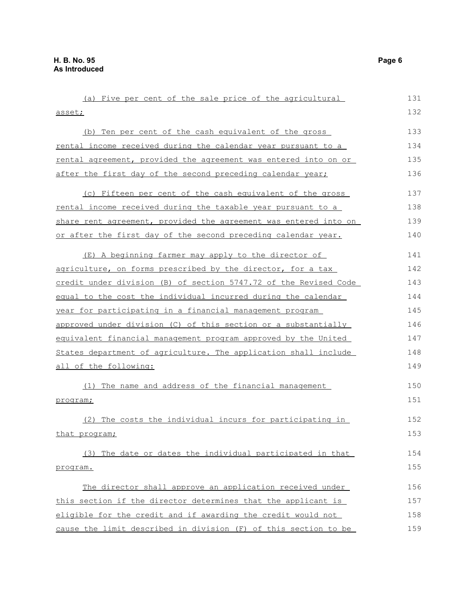(a) Five per cent of the sale price of the agricultural asset; (b) Ten per cent of the cash equivalent of the gross rental income received during the calendar year pursuant to a rental agreement, provided the agreement was entered into on or after the first day of the second preceding calendar year; (c) Fifteen per cent of the cash equivalent of the gross rental income received during the taxable year pursuant to a share rent agreement, provided the agreement was entered into on or after the first day of the second preceding calendar year. (E) A beginning farmer may apply to the director of agriculture, on forms prescribed by the director, for a tax credit under division (B) of section 5747.72 of the Revised Code equal to the cost the individual incurred during the calendar year for participating in a financial management program approved under division (C) of this section or a substantially equivalent financial management program approved by the United States department of agriculture. The application shall include all of the following: (1) The name and address of the financial management program; (2) The costs the individual incurs for participating in that program; (3) The date or dates the individual participated in that program. The director shall approve an application received under this section if the director determines that the applicant is 131 132 133 134 135 136 137 138 139 140 141 142 143 144 145 146 147 148 149 150 151 152 153 154 155 156 157 158

eligible for the credit and if awarding the credit would not cause the limit described in division (F) of this section to be 159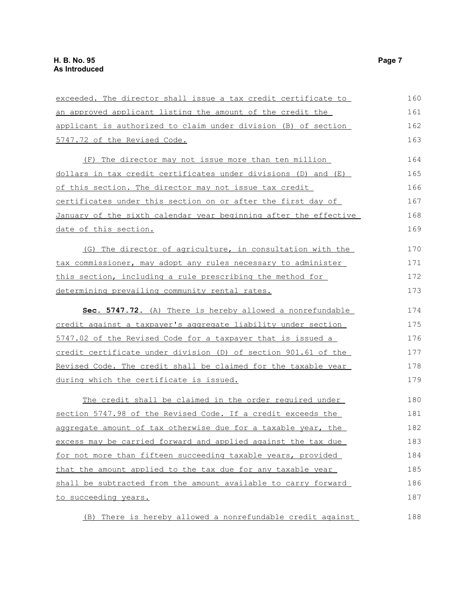| exceeded. The director shall issue a tax credit certificate to   | 160 |
|------------------------------------------------------------------|-----|
| an approved applicant listing the amount of the credit the       | 161 |
| applicant is authorized to claim under division (B) of section   | 162 |
| 5747.72 of the Revised Code.                                     | 163 |
| (F) The director may not issue more than ten million             | 164 |
| dollars in tax credit certificates under divisions (D) and (E)   | 165 |
| of this section. The director may not issue tax credit           | 166 |
| certificates under this section on or after the first day of     | 167 |
| January of the sixth calendar year beginning after the effective | 168 |
| date of this section.                                            | 169 |
| (G) The director of agriculture, in consultation with the        | 170 |
| tax commissioner, may adopt any rules necessary to administer    | 171 |
| this section, including a rule prescribing the method for        | 172 |
| determining prevailing community rental rates.                   | 173 |
| Sec. 5747.72. (A) There is hereby allowed a nonrefundable        | 174 |
| credit against a taxpayer's aggregate liability under section    | 175 |
| 5747.02 of the Revised Code for a taxpayer that is issued a      | 176 |
| credit certificate under division (D) of section 901.61 of the   | 177 |
| Revised Code. The credit shall be claimed for the taxable year   | 178 |
| during which the certificate is issued.                          | 179 |
| The credit shall be claimed in the order required under          | 180 |
| section 5747.98 of the Revised Code. If a credit exceeds the     | 181 |
| aggregate amount of tax otherwise due for a taxable year, the    | 182 |
| excess may be carried forward and applied against the tax due    | 183 |
| for not more than fifteen succeeding taxable years, provided     | 184 |
| that the amount applied to the tax due for any taxable year      | 185 |
| shall be subtracted from the amount available to carry forward   | 186 |
| <u>to succeeding years.</u>                                      | 187 |
| There is hereby allowed a nonrefundable credit against<br>(B)    | 188 |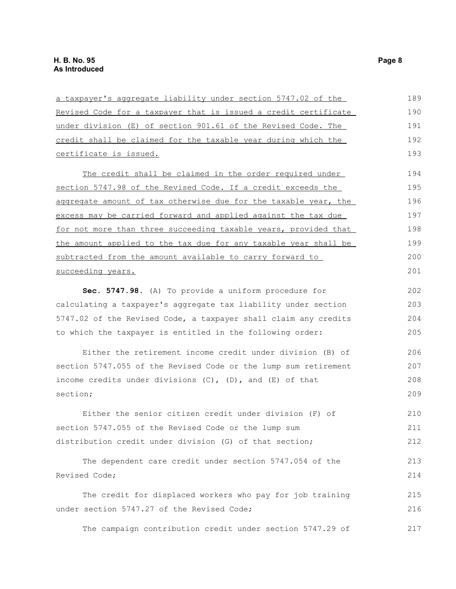| a taxpayer's aggregate liability under section 5747.02 of the    | 189 |
|------------------------------------------------------------------|-----|
| Revised Code for a taxpayer that is issued a credit certificate  | 190 |
| under division (E) of section 901.61 of the Revised Code. The    | 191 |
| credit shall be claimed for the taxable year during which the    | 192 |
| certificate is issued.                                           | 193 |
| The credit shall be claimed in the order required under          | 194 |
| section 5747.98 of the Revised Code. If a credit exceeds the     | 195 |
| aggregate amount of tax otherwise due for the taxable year, the  | 196 |
| excess may be carried forward and applied against the tax due    | 197 |
| for not more than three succeeding taxable years, provided that  | 198 |
| the amount applied to the tax due for any taxable year shall be  | 199 |
| subtracted from the amount available to carry forward to         | 200 |
| succeeding years.                                                | 201 |
| Sec. 5747.98. (A) To provide a uniform procedure for             | 202 |
| calculating a taxpayer's aggregate tax liability under section   | 203 |
| 5747.02 of the Revised Code, a taxpayer shall claim any credits  | 204 |
| to which the taxpayer is entitled in the following order:        | 205 |
| Either the retirement income credit under division (B) of        | 206 |
| section 5747.055 of the Revised Code or the lump sum retirement  | 207 |
| income credits under divisions $(C)$ , $(D)$ , and $(E)$ of that | 208 |
| section;                                                         | 209 |
| Either the senior citizen credit under division (F) of           | 210 |
| section 5747.055 of the Revised Code or the lump sum             | 211 |
| distribution credit under division (G) of that section;          | 212 |
| The dependent care credit under section 5747.054 of the          | 213 |
| Revised Code;                                                    | 214 |
| The credit for displaced workers who pay for job training        | 215 |
| under section 5747.27 of the Revised Code;                       | 216 |
| The campaign contribution credit under section 5747.29 of        | 217 |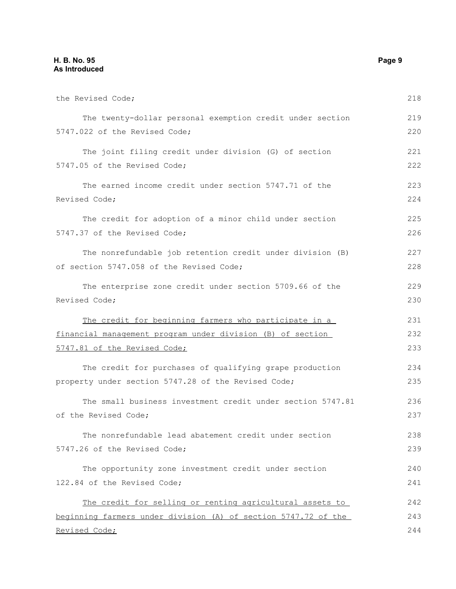#### **H. B. No. 95 Page 9 As Introduced**

| the Revised Code;                                              | 218 |
|----------------------------------------------------------------|-----|
| The twenty-dollar personal exemption credit under section      | 219 |
| 5747.022 of the Revised Code;                                  | 220 |
| The joint filing credit under division (G) of section          | 221 |
| 5747.05 of the Revised Code;                                   | 222 |
| The earned income credit under section 5747.71 of the          | 223 |
| Revised Code;                                                  | 224 |
| The credit for adoption of a minor child under section         | 225 |
| 5747.37 of the Revised Code;                                   | 226 |
| The nonrefundable job retention credit under division (B)      | 227 |
| of section 5747.058 of the Revised Code;                       | 228 |
| The enterprise zone credit under section 5709.66 of the        | 229 |
| Revised Code;                                                  | 230 |
| The credit for beginning farmers who participate in a          | 231 |
| financial management program under division (B) of section     | 232 |
| 5747.81 of the Revised Code;                                   | 233 |
| The credit for purchases of qualifying grape production        | 234 |
| property under section 5747.28 of the Revised Code;            | 235 |
| The small business investment credit under section 5747.81     | 236 |
| of the Revised Code;                                           | 237 |
| The nonrefundable lead abatement credit under section          | 238 |
| 5747.26 of the Revised Code;                                   | 239 |
| The opportunity zone investment credit under section           | 240 |
| 122.84 of the Revised Code;                                    | 241 |
| The credit for selling or renting agricultural assets to       | 242 |
| beginning farmers under division (A) of section 5747.72 of the | 243 |
| Revised Code;                                                  | 244 |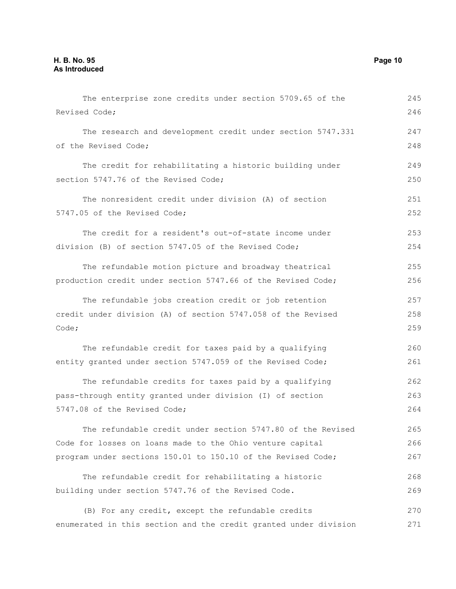The enterprise zone credits under section 5709.65 of the Revised Code; The research and development credit under section 5747.331 of the Revised Code; The credit for rehabilitating a historic building under section 5747.76 of the Revised Code; The nonresident credit under division (A) of section 5747.05 of the Revised Code; The credit for a resident's out-of-state income under division (B) of section 5747.05 of the Revised Code; The refundable motion picture and broadway theatrical production credit under section 5747.66 of the Revised Code; The refundable jobs creation credit or job retention credit under division (A) of section 5747.058 of the Revised Code; The refundable credit for taxes paid by a qualifying entity granted under section 5747.059 of the Revised Code; The refundable credits for taxes paid by a qualifying pass-through entity granted under division (I) of section 5747.08 of the Revised Code; The refundable credit under section 5747.80 of the Revised Code for losses on loans made to the Ohio venture capital program under sections 150.01 to 150.10 of the Revised Code; The refundable credit for rehabilitating a historic building under section 5747.76 of the Revised Code. (B) For any credit, except the refundable credits enumerated in this section and the credit granted under division 245 246 247 248 249 250 251 252 253 254 255 256 257 258 259 260 261 262 263 264 265 266 267 268 269 270 271